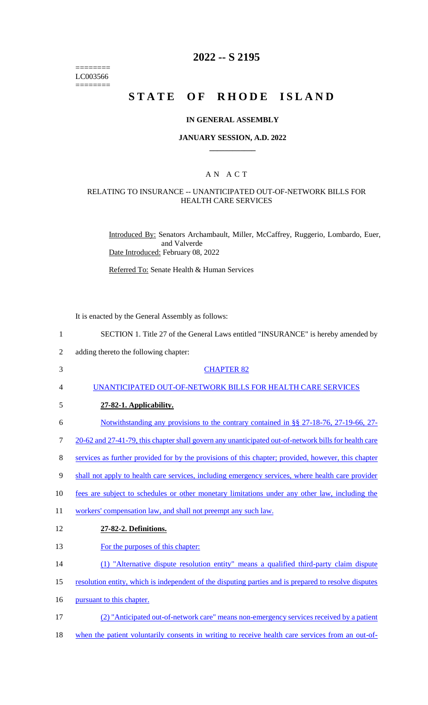======== LC003566  $=$ 

# **2022 -- S 2195**

# **STATE OF RHODE ISLAND**

### **IN GENERAL ASSEMBLY**

### **JANUARY SESSION, A.D. 2022 \_\_\_\_\_\_\_\_\_\_\_\_**

## A N A C T

### RELATING TO INSURANCE -- UNANTICIPATED OUT-OF-NETWORK BILLS FOR HEALTH CARE SERVICES

Introduced By: Senators Archambault, Miller, McCaffrey, Ruggerio, Lombardo, Euer, and Valverde Date Introduced: February 08, 2022

Referred To: Senate Health & Human Services

It is enacted by the General Assembly as follows:

| $\mathbf{1}$   | SECTION 1. Title 27 of the General Laws entitled "INSURANCE" is hereby amended by                    |
|----------------|------------------------------------------------------------------------------------------------------|
| $\mathfrak{2}$ | adding thereto the following chapter:                                                                |
| 3              | <b>CHAPTER 82</b>                                                                                    |
| 4              | UNANTICIPATED OUT-OF-NETWORK BILLS FOR HEALTH CARE SERVICES                                          |
| 5              | 27-82-1. Applicability.                                                                              |
| 6              | Notwithstanding any provisions to the contrary contained in §§ 27-18-76, 27-19-66, 27-               |
| 7              | 20-62 and 27-41-79, this chapter shall govern any unanticipated out-of-network bills for health care |
| 8              | services as further provided for by the provisions of this chapter; provided, however, this chapter  |
| 9              | shall not apply to health care services, including emergency services, where health care provider    |
| 10             | fees are subject to schedules or other monetary limitations under any other law, including the       |
| 11             | workers' compensation law, and shall not preempt any such law.                                       |
| 12             | 27-82-2. Definitions.                                                                                |
| 13             | For the purposes of this chapter:                                                                    |
| 14             | (1) "Alternative dispute resolution entity" means a qualified third-party claim dispute              |
| 15             | resolution entity, which is independent of the disputing parties and is prepared to resolve disputes |
| 16             | pursuant to this chapter.                                                                            |
| 17             | (2) "Anticipated out-of-network care" means non-emergency services received by a patient             |
| 18             | when the patient voluntarily consents in writing to receive health care services from an out-of-     |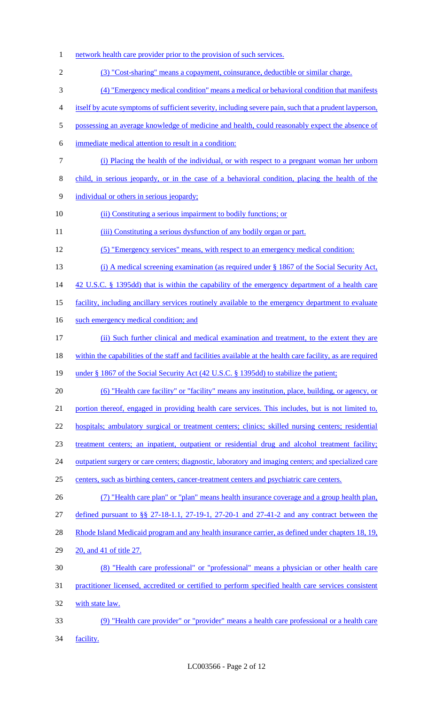| $\mathbf{1}$   | network health care provider prior to the provision of such services.                                      |
|----------------|------------------------------------------------------------------------------------------------------------|
| $\mathfrak{2}$ | (3) "Cost-sharing" means a copayment, coinsurance, deductible or similar charge.                           |
| 3              | (4) "Emergency medical condition" means a medical or behavioral condition that manifests                   |
| 4              | itself by acute symptoms of sufficient severity, including severe pain, such that a prudent layperson,     |
| 5              | possessing an average knowledge of medicine and health, could reasonably expect the absence of             |
| 6              | immediate medical attention to result in a condition:                                                      |
| $\tau$         | (i) Placing the health of the individual, or with respect to a pregnant woman her unborn                   |
| $8\,$          | child, in serious jeopardy, or in the case of a behavioral condition, placing the health of the            |
| $\mathbf{9}$   | individual or others in serious jeopardy;                                                                  |
| 10             | (ii) Constituting a serious impairment to bodily functions; or                                             |
| 11             | (iii) Constituting a serious dysfunction of any bodily organ or part.                                      |
| 12             | (5) "Emergency services" means, with respect to an emergency medical condition:                            |
| 13             | (i) A medical screening examination (as required under $\S$ 1867 of the Social Security Act,               |
| 14             | 42 U.S.C. § 1395dd) that is within the capability of the emergency department of a health care             |
| 15             | facility, including ancillary services routinely available to the emergency department to evaluate         |
| 16             | such emergency medical condition; and                                                                      |
| 17             | (ii) Such further clinical and medical examination and treatment, to the extent they are                   |
| 18             | within the capabilities of the staff and facilities available at the health care facility, as are required |
| 19             | under § 1867 of the Social Security Act (42 U.S.C. § 1395dd) to stabilize the patient;                     |
| 20             | (6) "Health care facility" or "facility" means any institution, place, building, or agency, or             |
| 21             | portion thereof, engaged in providing health care services. This includes, but is not limited to,          |
| 22             | hospitals; ambulatory surgical or treatment centers; clinics; skilled nursing centers; residential         |
| 23             | treatment centers; an inpatient, outpatient or residential drug and alcohol treatment facility;            |
| 24             | outpatient surgery or care centers; diagnostic, laboratory and imaging centers; and specialized care       |
| 25             | centers, such as birthing centers, cancer-treatment centers and psychiatric care centers.                  |
| 26             | (7) "Health care plan" or "plan" means health insurance coverage and a group health plan,                  |
| 27             | defined pursuant to §§ 27-18-1.1, 27-19-1, 27-20-1 and 27-41-2 and any contract between the                |
| 28             | Rhode Island Medicaid program and any health insurance carrier, as defined under chapters 18, 19,          |
| 29             | 20, and 41 of title 27.                                                                                    |
| 30             | (8) "Health care professional" or "professional" means a physician or other health care                    |
| 31             | practitioner licensed, accredited or certified to perform specified health care services consistent        |
| 32             | with state law.                                                                                            |
| 33             | (9) "Health care provider" or "provider" means a health care professional or a health care                 |
| 34             | facility.                                                                                                  |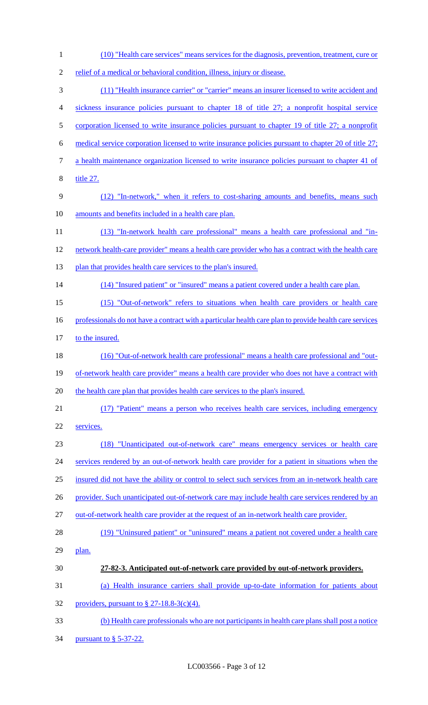1 (10) "Health care services" means services for the diagnosis, prevention, treatment, cure or 2 relief of a medical or behavioral condition, illness, injury or disease. 3 (11) "Health insurance carrier" or "carrier" means an insurer licensed to write accident and 4 sickness insurance policies pursuant to chapter 18 of title 27; a nonprofit hospital service 5 corporation licensed to write insurance policies pursuant to chapter 19 of title 27; a nonprofit 6 medical service corporation licensed to write insurance policies pursuant to chapter 20 of title 27; 7 a health maintenance organization licensed to write insurance policies pursuant to chapter 41 of 8 title 27. 9 (12) "In-network," when it refers to cost-sharing amounts and benefits, means such 10 amounts and benefits included in a health care plan. 11 (13) "In-network health care professional" means a health care professional and "in-12 network health-care provider" means a health care provider who has a contract with the health care 13 plan that provides health care services to the plan's insured. 14 (14) "Insured patient" or "insured" means a patient covered under a health care plan. 15 (15) "Out-of-network" refers to situations when health care providers or health care 16 professionals do not have a contract with a particular health care plan to provide health care services 17 to the insured. 18 (16) "Out-of-network health care professional" means a health care professional and "out-19 of-network health care provider" means a health care provider who does not have a contract with 20 the health care plan that provides health care services to the plan's insured. 21 (17) "Patient" means a person who receives health care services, including emergency 22 services. 23 (18) "Unanticipated out-of-network care" means emergency services or health care 24 services rendered by an out-of-network health care provider for a patient in situations when the 25 insured did not have the ability or control to select such services from an in-network health care 26 provider. Such unanticipated out-of-network care may include health care services rendered by an 27 out-of-network health care provider at the request of an in-network health care provider. 28 (19) "Uninsured patient" or "uninsured" means a patient not covered under a health care 29 plan. 30 **27-82-3. Anticipated out-of-network care provided by out-of-network providers.**  31 (a) Health insurance carriers shall provide up-to-date information for patients about 32 providers, pursuant to  $\frac{8}{9}$  27-18.8-3(c)(4). 33 (b) Health care professionals who are not participants in health care plans shall post a notice 34 <u>pursuant to § 5-37-22.</u>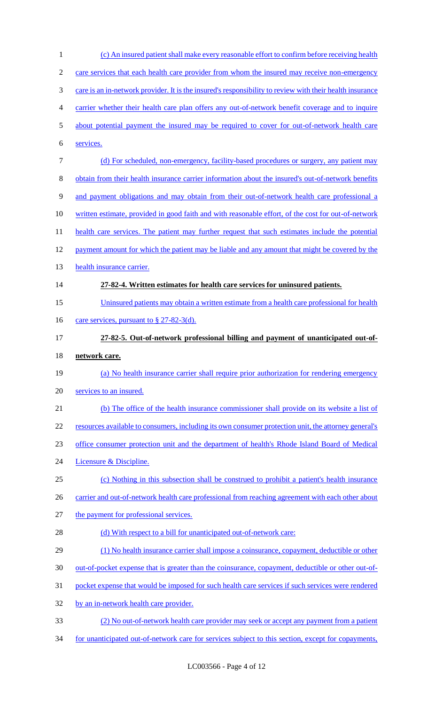| $\mathbf{1}$ | (c) An insured patient shall make every reasonable effort to confirm before receiving health             |
|--------------|----------------------------------------------------------------------------------------------------------|
| 2            | care services that each health care provider from whom the insured may receive non-emergency             |
| 3            | care is an in-network provider. It is the insured's responsibility to review with their health insurance |
| 4            | carrier whether their health care plan offers any out-of-network benefit coverage and to inquire         |
| 5            | about potential payment the insured may be required to cover for out-of-network health care              |
| 6            | services.                                                                                                |
| 7            | (d) For scheduled, non-emergency, facility-based procedures or surgery, any patient may                  |
| 8            | obtain from their health insurance carrier information about the insured's out-of-network benefits       |
| 9            | and payment obligations and may obtain from their out-of-network health care professional a              |
| 10           | written estimate, provided in good faith and with reasonable effort, of the cost for out-of-network      |
| 11           | health care services. The patient may further request that such estimates include the potential          |
| 12           | payment amount for which the patient may be liable and any amount that might be covered by the           |
| 13           | health insurance carrier.                                                                                |
| 14           | 27-82-4. Written estimates for health care services for uninsured patients.                              |
| 15           | Uninsured patients may obtain a written estimate from a health care professional for health              |
| 16           | <u>care services, pursuant to <math>\S</math> 27-82-3(d).</u>                                            |
| 17           | 27-82-5. Out-of-network professional billing and payment of unanticipated out-of-                        |
|              |                                                                                                          |
| 18           | network care.                                                                                            |
| 19           | (a) No health insurance carrier shall require prior authorization for rendering emergency                |
| 20           | services to an insured.                                                                                  |
| 21           | (b) The office of the health insurance commissioner shall provide on its website a list of               |
| 22           | resources available to consumers, including its own consumer protection unit, the attorney general's     |
| 23           | office consumer protection unit and the department of health's Rhode Island Board of Medical             |
| 24           | Licensure & Discipline.                                                                                  |
| 25           | (c) Nothing in this subsection shall be construed to prohibit a patient's health insurance               |
| 26           | carrier and out-of-network health care professional from reaching agreement with each other about        |
| 27           | the payment for professional services.                                                                   |
| 28           | (d) With respect to a bill for unanticipated out-of-network care:                                        |
| 29           | (1) No health insurance carrier shall impose a coinsurance, copayment, deductible or other               |
| 30           | out-of-pocket expense that is greater than the coinsurance, copayment, deductible or other out-of-       |
| 31           | pocket expense that would be imposed for such health care services if such services were rendered        |
| 32           | by an in-network health care provider.                                                                   |
| 33           | (2) No out-of-network health care provider may seek or accept any payment from a patient                 |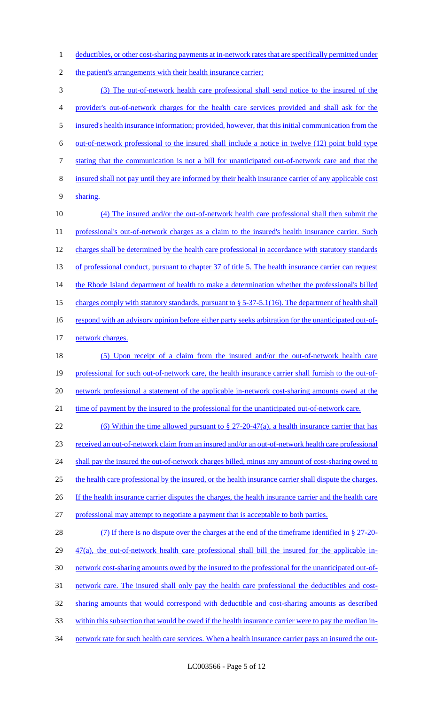1 deductibles, or other cost-sharing payments at in-network rates that are specifically permitted under

2 the patient's arrangements with their health insurance carrier;

 (3) The out-of-network health care professional shall send notice to the insured of the provider's out-of-network charges for the health care services provided and shall ask for the insured's health insurance information; provided, however, that this initial communication from the out-of-network professional to the insured shall include a notice in twelve (12) point bold type stating that the communication is not a bill for unanticipated out-of-network care and that the insured shall not pay until they are informed by their health insurance carrier of any applicable cost 9 sharing. 10 (4) The insured and/or the out-of-network health care professional shall then submit the 11 professional's out-of-network charges as a claim to the insured's health insurance carrier. Such

12 charges shall be determined by the health care professional in accordance with statutory standards 13 of professional conduct, pursuant to chapter 37 of title 5. The health insurance carrier can request 14 the Rhode Island department of health to make a determination whether the professional's billed 15 charges comply with statutory standards, pursuant to § 5-37-5.1(16). The department of health shall 16 respond with an advisory opinion before either party seeks arbitration for the unanticipated out-of-17 network charges.

18 (5) Upon receipt of a claim from the insured and/or the out-of-network health care 19 professional for such out-of-network care, the health insurance carrier shall furnish to the out-of-20 network professional a statement of the applicable in-network cost-sharing amounts owed at the 21 time of payment by the insured to the professional for the unanticipated out-of-network care.

22 (6) Within the time allowed pursuant to  $\S 27-20-47(a)$ , a health insurance carrier that has 23 received an out-of-network claim from an insured and/or an out-of-network health care professional 24 shall pay the insured the out-of-network charges billed, minus any amount of cost-sharing owed to 25 the health care professional by the insured, or the health insurance carrier shall dispute the charges. 26 If the health insurance carrier disputes the charges, the health insurance carrier and the health care 27 professional may attempt to negotiate a payment that is acceptable to both parties. 28 (7) If there is no dispute over the charges at the end of the timeframe identified in § 27-20-

29 47(a), the out-of-network health care professional shall bill the insured for the applicable in- network cost-sharing amounts owed by the insured to the professional for the unanticipated out-of- network care. The insured shall only pay the health care professional the deductibles and cost- sharing amounts that would correspond with deductible and cost-sharing amounts as described within this subsection that would be owed if the health insurance carrier were to pay the median in-34 network rate for such health care services. When a health insurance carrier pays an insured the out-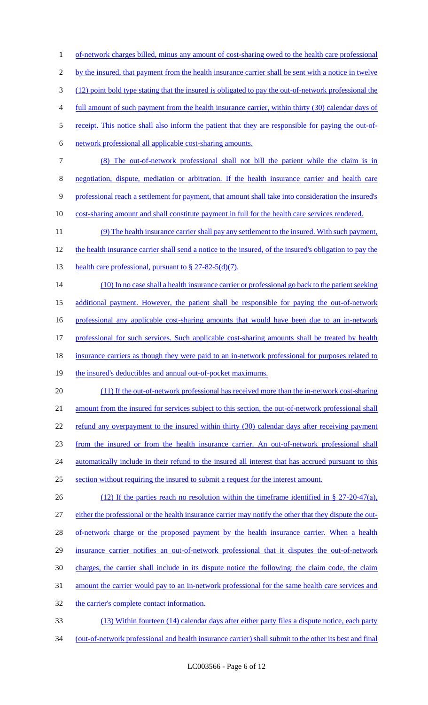1 of-network charges billed, minus any amount of cost-sharing owed to the health care professional 2 by the insured, that payment from the health insurance carrier shall be sent with a notice in twelve 3 (12) point bold type stating that the insured is obligated to pay the out-of-network professional the 4 full amount of such payment from the health insurance carrier, within thirty (30) calendar days of 5 receipt. This notice shall also inform the patient that they are responsible for paying the out-of-6 network professional all applicable cost-sharing amounts. 7 (8) The out-of-network professional shall not bill the patient while the claim is in 8 negotiation, dispute, mediation or arbitration. If the health insurance carrier and health care 9 professional reach a settlement for payment, that amount shall take into consideration the insured's 10 cost-sharing amount and shall constitute payment in full for the health care services rendered. 11 (9) The health insurance carrier shall pay any settlement to the insured. With such payment, 12 the health insurance carrier shall send a notice to the insured, of the insured's obligation to pay the 13 health care professional, pursuant to § 27-82-5(d)(7). 14 (10) In no case shall a health insurance carrier or professional go back to the patient seeking 15 additional payment. However, the patient shall be responsible for paying the out-of-network 16 professional any applicable cost-sharing amounts that would have been due to an in-network 17 professional for such services. Such applicable cost-sharing amounts shall be treated by health 18 insurance carriers as though they were paid to an in-network professional for purposes related to 19 the insured's deductibles and annual out-of-pocket maximums. 20 (11) If the out-of-network professional has received more than the in-network cost-sharing 21 amount from the insured for services subject to this section, the out-of-network professional shall 22 refund any overpayment to the insured within thirty (30) calendar days after receiving payment 23 from the insured or from the health insurance carrier. An out-of-network professional shall 24 automatically include in their refund to the insured all interest that has accrued pursuant to this 25 section without requiring the insured to submit a request for the interest amount. 26 (12) If the parties reach no resolution within the timeframe identified in § 27-20-47(a), 27 either the professional or the health insurance carrier may notify the other that they dispute the out-28 of-network charge or the proposed payment by the health insurance carrier. When a health 29 insurance carrier notifies an out-of-network professional that it disputes the out-of-network 30 charges, the carrier shall include in its dispute notice the following: the claim code, the claim 31 amount the carrier would pay to an in-network professional for the same health care services and 32 the carrier's complete contact information. 33 (13) Within fourteen (14) calendar days after either party files a dispute notice, each party 34 (out-of-network professional and health insurance carrier) shall submit to the other its best and final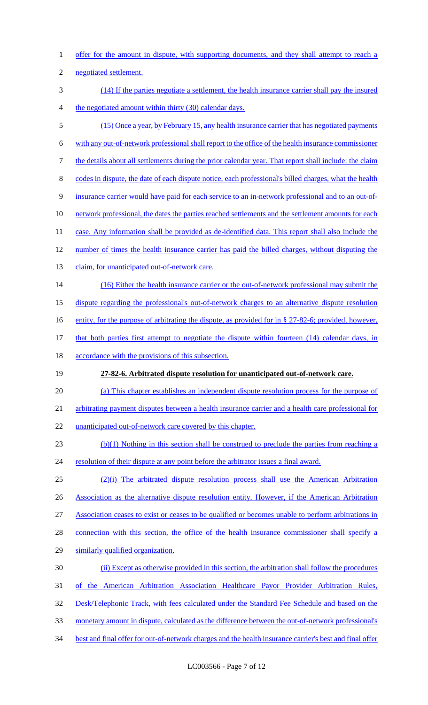- 1 offer for the amount in dispute, with supporting documents, and they shall attempt to reach a
- 2 negotiated settlement.
- 3 (14) If the parties negotiate a settlement, the health insurance carrier shall pay the insured 4 the negotiated amount within thirty (30) calendar days.
- 5 (15) Once a year, by February 15, any health insurance carrier that has negotiated payments
- 6 with any out-of-network professional shall report to the office of the health insurance commissioner
- 7 the details about all settlements during the prior calendar year. That report shall include: the claim
- 8 codes in dispute, the date of each dispute notice, each professional's billed charges, what the health
- 9 insurance carrier would have paid for each service to an in-network professional and to an out-of-
- 10 network professional, the dates the parties reached settlements and the settlement amounts for each
- 11 case. Any information shall be provided as de-identified data. This report shall also include the
- 12 number of times the health insurance carrier has paid the billed charges, without disputing the
- 13 claim, for unanticipated out-of-network care.
- 14 (16) Either the health insurance carrier or the out-of-network professional may submit the
- 15 dispute regarding the professional's out-of-network charges to an alternative dispute resolution
- 16 entity, for the purpose of arbitrating the dispute, as provided for in § 27-82-6; provided, however,
- 17 that both parties first attempt to negotiate the dispute within fourteen (14) calendar days, in
- 18 accordance with the provisions of this subsection.
- 19 **27-82-6. Arbitrated dispute resolution for unanticipated out-of-network care.**
- 20 (a) This chapter establishes an independent dispute resolution process for the purpose of
- 21 arbitrating payment disputes between a health insurance carrier and a health care professional for
- 22 unanticipated out-of-network care covered by this chapter.
- 23 (b)(1) Nothing in this section shall be construed to preclude the parties from reaching a
- 24 resolution of their dispute at any point before the arbitrator issues a final award.
- 25 (2)(i) The arbitrated dispute resolution process shall use the American Arbitration
- 26 Association as the alternative dispute resolution entity. However, if the American Arbitration
- 27 Association ceases to exist or ceases to be qualified or becomes unable to perform arbitrations in
- 28 connection with this section, the office of the health insurance commissioner shall specify a
- 29 similarly qualified organization.
- 30 (ii) Except as otherwise provided in this section, the arbitration shall follow the procedures
- 31 of the American Arbitration Association Healthcare Payor Provider Arbitration Rules,
- 32 Desk/Telephonic Track, with fees calculated under the Standard Fee Schedule and based on the
- 33 monetary amount in dispute, calculated as the difference between the out-of-network professional's
- 34 best and final offer for out-of-network charges and the health insurance carrier's best and final offer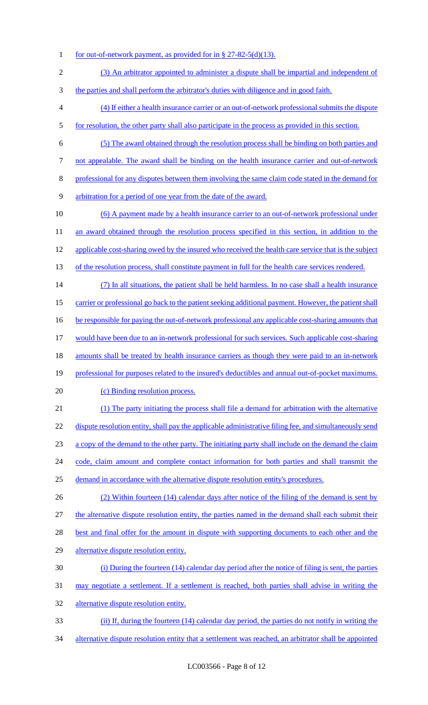- 1 for out-of-network payment, as provided for in § 27-82-5(d)(13).
- 2 (3) An arbitrator appointed to administer a dispute shall be impartial and independent of
- 3 the parties and shall perform the arbitrator's duties with diligence and in good faith.
- 4 (4) If either a health insurance carrier or an out-of-network professional submits the dispute 5 for resolution, the other party shall also participate in the process as provided in this section.
- 6 (5) The award obtained through the resolution process shall be binding on both parties and
- 7 not appealable. The award shall be binding on the health insurance carrier and out-of-network
- 8 professional for any disputes between them involving the same claim code stated in the demand for
- 9 arbitration for a period of one year from the date of the award.
- 10 (6) A payment made by a health insurance carrier to an out-of-network professional under 11 an award obtained through the resolution process specified in this section, in addition to the 12 applicable cost-sharing owed by the insured who received the health care service that is the subject 13 of the resolution process, shall constitute payment in full for the health care services rendered.
- 14 (7) In all situations, the patient shall be held harmless. In no case shall a health insurance 15 carrier or professional go back to the patient seeking additional payment. However, the patient shall 16 be responsible for paying the out-of-network professional any applicable cost-sharing amounts that
- 17 would have been due to an in-network professional for such services. Such applicable cost-sharing
- 18 amounts shall be treated by health insurance carriers as though they were paid to an in-network
- 19 professional for purposes related to the insured's deductibles and annual out-of-pocket maximums.
- 20 (c) Binding resolution process.
- 21 (1) The party initiating the process shall file a demand for arbitration with the alternative 22 dispute resolution entity, shall pay the applicable administrative filing fee, and simultaneously send 23 a copy of the demand to the other party. The initiating party shall include on the demand the claim 24 code, claim amount and complete contact information for both parties and shall transmit the 25 demand in accordance with the alternative dispute resolution entity's procedures.
- 26 (2) Within fourteen (14) calendar days after notice of the filing of the demand is sent by 27 the alternative dispute resolution entity, the parties named in the demand shall each submit their 28 best and final offer for the amount in dispute with supporting documents to each other and the
- 29 alternative dispute resolution entity.
- 30 (i) During the fourteen (14) calendar day period after the notice of filing is sent, the parties
- 31 may negotiate a settlement. If a settlement is reached, both parties shall advise in writing the
- 32 alternative dispute resolution entity.
- 33 (ii) If, during the fourteen (14) calendar day period, the parties do not notify in writing the
- 34 alternative dispute resolution entity that a settlement was reached, an arbitrator shall be appointed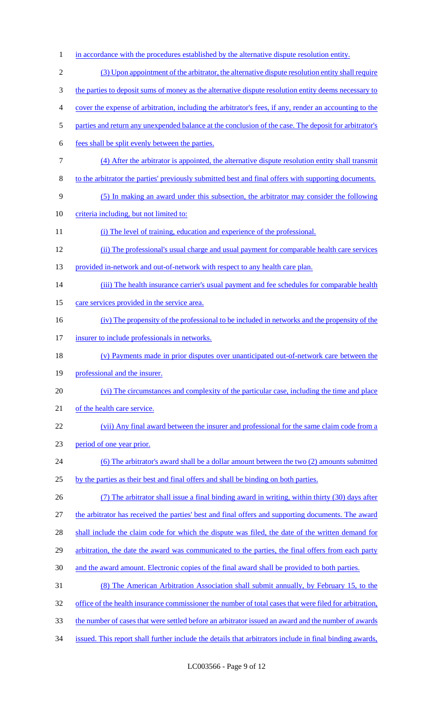1 in accordance with the procedures established by the alternative dispute resolution entity. (3) Upon appointment of the arbitrator, the alternative dispute resolution entity shall require 3 the parties to deposit sums of money as the alternative dispute resolution entity deems necessary to cover the expense of arbitration, including the arbitrator's fees, if any, render an accounting to the parties and return any unexpended balance at the conclusion of the case. The deposit for arbitrator's fees shall be split evenly between the parties. (4) After the arbitrator is appointed, the alternative dispute resolution entity shall transmit to the arbitrator the parties' previously submitted best and final offers with supporting documents. (5) In making an award under this subsection, the arbitrator may consider the following criteria including, but not limited to: 11 (i) The level of training, education and experience of the professional. (ii) The professional's usual charge and usual payment for comparable health care services 13 provided in-network and out-of-network with respect to any health care plan. 14 (iii) The health insurance carrier's usual payment and fee schedules for comparable health 15 care services provided in the service area. (iv) The propensity of the professional to be included in networks and the propensity of the 17 insurer to include professionals in networks. (v) Payments made in prior disputes over unanticipated out-of-network care between the professional and the insurer. (vi) The circumstances and complexity of the particular case, including the time and place 21 of the health care service. (vii) Any final award between the insurer and professional for the same claim code from a period of one year prior. 24 (6) The arbitrator's award shall be a dollar amount between the two (2) amounts submitted by the parties as their best and final offers and shall be binding on both parties. (7) The arbitrator shall issue a final binding award in writing, within thirty (30) days after the arbitrator has received the parties' best and final offers and supporting documents. The award 28 shall include the claim code for which the dispute was filed, the date of the written demand for 29 arbitration, the date the award was communicated to the parties, the final offers from each party and the award amount. Electronic copies of the final award shall be provided to both parties. (8) The American Arbitration Association shall submit annually, by February 15, to the 32 office of the health insurance commissioner the number of total cases that were filed for arbitration, the number of cases that were settled before an arbitrator issued an award and the number of awards issued. This report shall further include the details that arbitrators include in final binding awards,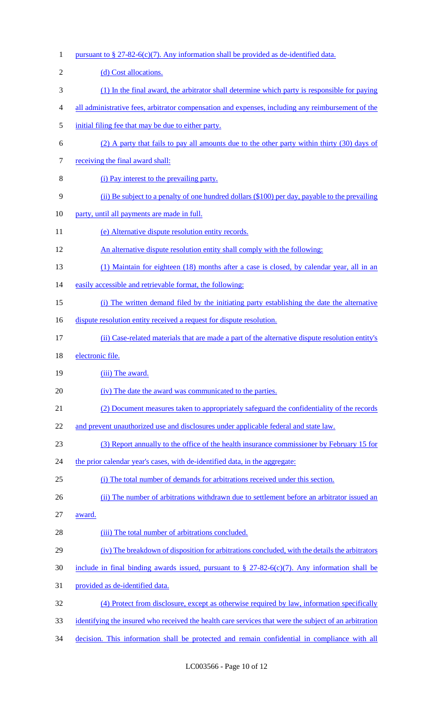1 pursuant to  $\S 27-82-6(c)(7)$ . Any information shall be provided as de-identified data. 2 (d) Cost allocations. 3 (1) In the final award, the arbitrator shall determine which party is responsible for paying 4 all administrative fees, arbitrator compensation and expenses, including any reimbursement of the 5 initial filing fee that may be due to either party. 6 (2) A party that fails to pay all amounts due to the other party within thirty (30) days of 7 receiving the final award shall: 8 (i) Pay interest to the prevailing party. 9 (ii) Be subject to a penalty of one hundred dollars (\$100) per day, payable to the prevailing 10 party, until all payments are made in full. 11 (e) Alternative dispute resolution entity records. 12 An alternative dispute resolution entity shall comply with the following: 13 (1) Maintain for eighteen (18) months after a case is closed, by calendar year, all in an 14 easily accessible and retrievable format, the following: 15 (i) The written demand filed by the initiating party establishing the date the alternative 16 dispute resolution entity received a request for dispute resolution. 17 (ii) Case-related materials that are made a part of the alternative dispute resolution entity's 18 electronic file. 19 (iii) The award. 20 (iv) The date the award was communicated to the parties. 21 (2) Document measures taken to appropriately safeguard the confidentiality of the records 22 and prevent unauthorized use and disclosures under applicable federal and state law. 23 (3) Report annually to the office of the health insurance commissioner by February 15 for 24 the prior calendar year's cases, with de-identified data, in the aggregate: 25 (i) The total number of demands for arbitrations received under this section. 26 (ii) The number of arbitrations withdrawn due to settlement before an arbitrator issued an 27 award. 28 (iii) The total number of arbitrations concluded. 29 (iv) The breakdown of disposition for arbitrations concluded, with the details the arbitrators 30 include in final binding awards issued, pursuant to  $\S 27-82-6(c)(7)$ . Any information shall be 31 provided as de-identified data. 32 (4) Protect from disclosure, except as otherwise required by law, information specifically 33 identifying the insured who received the health care services that were the subject of an arbitration 34 decision. This information shall be protected and remain confidential in compliance with all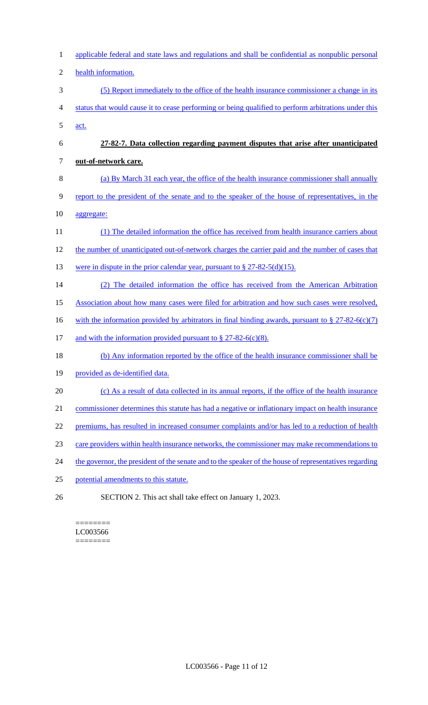| $\mathbf{1}$   | applicable federal and state laws and regulations and shall be confidential as nonpublic personal      |
|----------------|--------------------------------------------------------------------------------------------------------|
| $\mathfrak{2}$ | health information.                                                                                    |
| 3              | (5) Report immediately to the office of the health insurance commissioner a change in its              |
| $\overline{4}$ | status that would cause it to cease performing or being qualified to perform arbitrations under this   |
| 5              | act.                                                                                                   |
| 6              | 27-82-7. Data collection regarding payment disputes that arise after unanticipated                     |
| $\tau$         | out-of-network care.                                                                                   |
| $8\,$          | (a) By March 31 each year, the office of the health insurance commissioner shall annually              |
| 9              | report to the president of the senate and to the speaker of the house of representatives, in the       |
| 10             | aggregate:                                                                                             |
| 11             | (1) The detailed information the office has received from health insurance carriers about              |
| 12             | the number of unanticipated out-of-network charges the carrier paid and the number of cases that       |
| 13             | were in dispute in the prior calendar year, pursuant to $\S 27-82-5(d)(15)$ .                          |
| 14             | (2) The detailed information the office has received from the American Arbitration                     |
| 15             | Association about how many cases were filed for arbitration and how such cases were resolved,          |
| 16             | with the information provided by arbitrators in final binding awards, pursuant to $\S 27-82-6(c)(7)$   |
| 17             | and with the information provided pursuant to $\S 27-82-6(c)(8)$ .                                     |
| 18             | (b) Any information reported by the office of the health insurance commissioner shall be               |
| 19             | provided as de-identified data.                                                                        |
| 20             | (c) As a result of data collected in its annual reports, if the office of the health insurance         |
| 21             | commissioner determines this statute has had a negative or inflationary impact on health insurance     |
| 22             | premiums, has resulted in increased consumer complaints and/or has led to a reduction of health        |
| 23             | care providers within health insurance networks, the commissioner may make recommendations to          |
| 24             | the governor, the president of the senate and to the speaker of the house of representatives regarding |
| 25             | potential amendments to this statute.                                                                  |
| 26             | SECTION 2. This act shall take effect on January 1, 2023.                                              |

#### ======== LC003566 ========